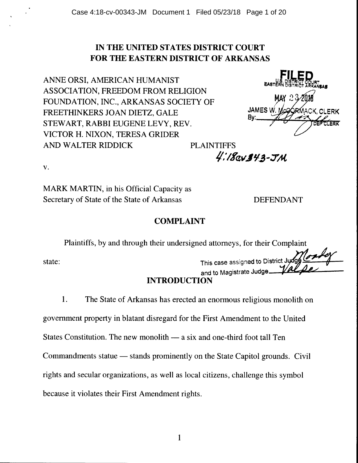## IN THE UNITED STATES DISTRICT COURT FOR THE EASTERN DISTRICT OF ARKANSAS

ANNE ORSI, AMERICAN HUMANIST ASSOCIATION, FREEDOM FROM RELIGION FOUNDATION, INC., ARKANSAS SOCIETY OF FREETHINKERS JOAN DIETZ, GALE STEWART, RABBI EUGENE LEVY, REV. VICTOR H. NIXON, TERESA GRIDER AND WALTER RIDDICK PLAINTIFFS *I/,, !%q;t1* -:7 M



v.

MARK MARTIN, in his Official Capacity as Secretary of State of the State of Arkansas DEFENDANT

### COMPLAINT

Plaintiffs, by and through their undersigned attorneys, for their Complaint

state:

This case assigned to District Judge and to Magistrate Judge

# INTRODUCTION

1. The State of Arkansas has erected an enormous religious monolith on

government property in blatant disregard for the First Amendment to the United

States Constitution. The new monolith  $-$  a six and one-third foot tall Ten

Commandments statue — stands prominently on the State Capitol grounds. Civil

rights and secular organizations, as well as local citizens, challenge this symbol

because it violates their First Amendment rights.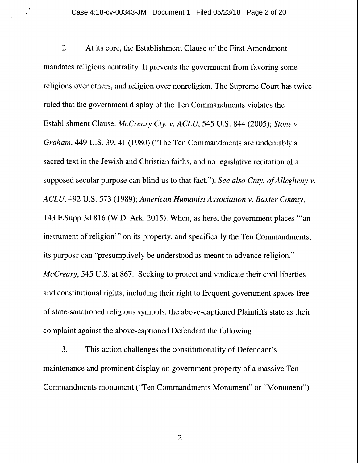2. At its core, the Establishment Clause of the First Amendment mandates religious neutrality. It prevents the government from favoring some religions over others, and religion over nonreligion. The Supreme Court has twice ruled that the government display of the Ten Commandments violates the Establishment Clause. *McCreary Cty. v. ACLU,* 545 U.S. 844 (2005); *Stone v. Graham,* 449 U.S. 39, 41 (1980) ("The Ten Commandments are undeniably a sacred text in the Jewish and Christian faiths, and no legislative recitation of a supposed secular purpose can blind us to that fact."). *See also Cnty. of Allegheny v. ACLU,* 492 U.S. 573 (1989); *American Humanist Association v. Baxter County,*  143 F.Supp.3d 816 (W.D. Ark. 2015). When, as here, the government places '"an instrument of religion"' on its property, and specifically the Ten Commandments, its purpose can "presumptively be understood as meant to advance religion." *McCreary,* 545 U.S. at 867. Seeking to protect and vindicate their civil liberties and constitutional rights, including their right to frequent government spaces free of state-sanctioned religious symbols, the above-captioned Plaintiffs state as their complaint against the above-captioned Defendant the following

3. This action challenges the constitutionality of Defendant's maintenance and prominent display on government property of a massive Ten Commandments monument ("Ten Commandments Monument" or "Monument")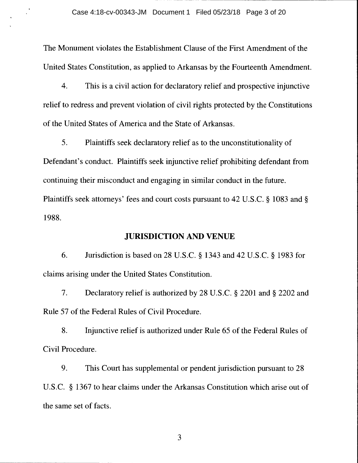The Monument violates the Establishment Clause of the First Amendment of the United States Constitution, as applied to Arkansas by the Fourteenth Amendment.

4. This is a civil action for declaratory relief and prospective injunctive relief to redress and prevent violation of civil rights protected by the Constitutions of the United States of America and the State of Arkansas.

5. Plaintiffs seek declaratory relief as to the unconstitutionality of Defendant's conduct. Plaintiffs seek injunctive relief prohibiting defendant from continuing their misconduct and engaging in similar conduct in the future. Plaintiffs seek attorneys' fees and court costs pursuant to 42 U.S.C. § 1083 and§ 1988.

#### **JURISDICTION AND VENUE**

6. Jurisdiction is based on 28 U.S.C. § 1343 and 42 U.S.C. § 1983 for claims arising under the United States Constitution.

7. Declaratory relief is authorized by 28 U.S.C. § 2201 and§ 2202 and Rule 57 of the Federal Rules of Civil Procedure.

8. Injunctive relief is authorized under Rule 65 of the Federal Rules of Civil Procedure.

9. This Court has supplemental or pendent jurisdiction pursuant to 28 U.S.C. § 1367 to hear claims under the Arkansas Constitution which arise out of the same set of facts.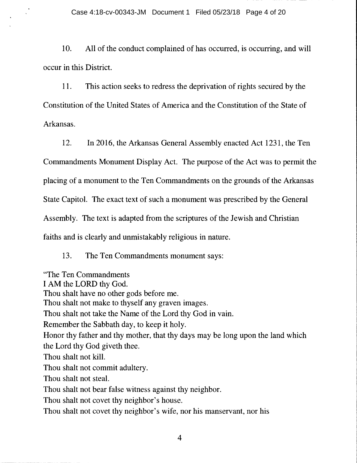10. All of the conduct complained of has occurred, is occurring, and will occur in this District.

11. This action seeks to redress the deprivation of rights secured by the Constitution of the United States of America and the Constitution of the State of Arkansas.

12. In 2016, the Arkansas General Assembly enacted Act 1231, the Ten Commandments Monument Display Act. The purpose of the Act was to permit the placing of a monument to the Ten Commandments on the grounds of the Arkansas State Capitol. The exact text of such a monument was prescribed by the General Assembly. The text is adapted from the scriptures of the Jewish and Christian faiths and is clearly and unmistakably religious in nature.

13. The Ten Commandments monument says:

"The Ten Commandments I AM the LORD thy God. Thou shalt have no other gods before me. Thou shalt not make to thyself any graven images. Thou shalt not take the Name of the Lord thy God in vain. Remember the Sabbath day, to keep it holy. Honor thy father and thy mother, that thy days may be long upon the land which the Lord thy God giveth thee. Thou shalt not kill. Thou shalt not commit adultery. Thou shalt not steal. Thou shalt not bear false witness against thy neighbor. Thou shalt not covet thy neighbor's house. Thou shalt not covet thy neighbor's wife, nor his manservant, nor his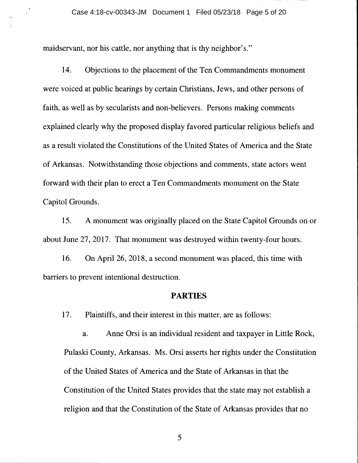maidservant, nor his cattle, nor anything that is thy neighbor's."

14. Objections to the placement of the Ten Commandments monument were voiced at public hearings by certain Christians, Jews, and other persons of faith, as well as by secularists and non-believers. Persons making comments explained clearly why the proposed display favored particular religious beliefs and as a result violated the Constitutions of the United States of America and the State of Arkansas. Notwithstanding those objections and comments, state actors went forward with their plan to erect a Ten Commandments monument on the State Capitol Grounds.

15. A monument was originally placed on the State Capitol Grounds on or about June 27, 2017. That monument was destroyed within twenty-four hours.

16. On April 26, 2018, a second monument was placed, this time with barriers to prevent intentional destruction.

#### **PARTIES**

17. Plaintiffs, and their interest in this matter, are as follows:

a. Anne Orsi is an individual resident and taxpayer in Little Rock, Pulaski County, Arkansas. Ms. Orsi asserts her rights under the Constitution of the United States of America and the State of Arkansas in that the Constitution of the United States provides that the state may not establish a religion and that the Constitution of the State of Arkansas provides that no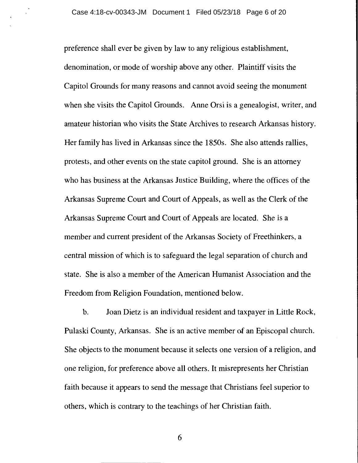preference shall ever be given by law to any religious establishment, denomination, or mode of worship above any other. Plaintiff visits the Capitol Grounds for many reasons and cannot avoid seeing the monument when she visits the Capitol Grounds. Anne Orsi is a genealogist, writer, and amateur historian who visits the State Archives to research Arkansas history. Her family has lived in Arkansas since the 1850s. She also attends rallies, protests, and other events on the state capitol ground. She is an attorney who has business at the Arkansas Justice Building, where the offices of the Arkansas Supreme Court and Court of Appeals, as well as the Clerk of the Arkansas Supreme Court and Court of Appeals are located. She is a member and current president of the Arkansas Society of Freethinkers, a central mission of which is to safeguard the legal separation of church and state. She is also a member of the American Humanist Association and the Freedom from Religion Foundation, mentioned below.

b. Joan Dietz is an individual resident and taxpayer in Little Rock, Pulaski County, Arkansas. She is an active member of an Episcopal church. She objects to the monument because it selects one version of a religion, and one religion, for preference above all others. It misrepresents her Christian faith because it appears to send the message that Christians feel superior to others, which is contrary to the teachings of her Christian faith.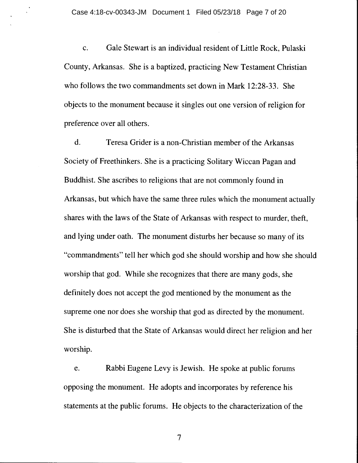c. Gale Stewart is an individual resident of Little Rock, Pulaski County, Arkansas. She is a baptized, practicing New Testament Christian who follows the two commandments set down in Mark 12:28-33. She objects to the monument because it singles out one version of religion for preference over all others.

d. Teresa Grider is a non-Christian member of the Arkansas Society of Freethinkers. She is a practicing Solitary Wiccan Pagan and Buddhist. She ascribes to religions that are not commonly found in Arkansas, but which have the same three rules which the monument actually shares with the laws of the State of Arkansas with respect to murder, theft, and lying under oath. The monument disturbs her because so many of its "commandments" tell her which god she should worship and how she should worship that god. While she recognizes that there are many gods, she definitely does not accept the god mentioned by the monument as the supreme one nor does she worship that god as directed by the monument. She is disturbed that the State of Arkansas would direct her religion and her worship.

e. Rabbi Eugene Levy is Jewish. He spoke at public forums opposing the monument. He adopts and incorporates by reference his statements at the public forums. He objects to the characterization of the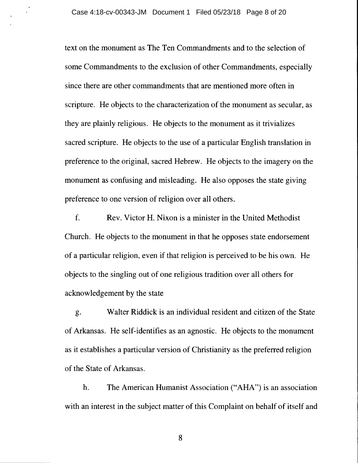text on the monument as The Ten Commandments and to the selection of some Commandments to the exclusion of other Commandments, especially since there are other commandments that are mentioned more often in scripture. He objects to the characterization of the monument as secular, as they are plainly religious. He objects to the monument as it trivializes sacred scripture. He objects to the use of a particular English translation in preference to the original, sacred Hebrew. He objects to the imagery on the monument as confusing and misleading. He also opposes the state giving preference to one version of religion over all others.

f. Rev. Victor H. Nixon is a minister in the United Methodist Church. He objects to the monument in that he opposes state endorsement of a particular religion, even if that religion is perceived to be his own. He objects to the singling out of one religious tradition over all others for acknowledgement by the state

g. Walter Riddick is an individual resident and citizen of the State of Arkansas. He self-identifies as an agnostic. He objects to the monument as it establishes a particular version of Christianity as the preferred religion of the State of Arkansas.

h. The American Humanist Association ("AHA") is an association with an interest in the subject matter of this Complaint on behalf of itself and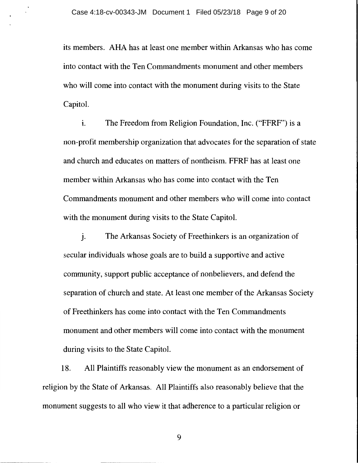its members. AHA has at least one member within Arkansas who has come into contact with the Ten Commandments monument and other members who will come into contact with the monument during visits to the State Capitol.

1. The Freedom from Religion Foundation, Inc. ("FFRF") is a non-profit membership organization that advocates for the separation of state and church and educates on matters of nontheism. FFRF has at least one member within Arkansas who has come into contact with the Ten Commandments monument and other members who will come into contact with the monument during visits to the State Capitol.

J. The Arkansas Society of Freethinkers is an organization of secular individuals whose goals are to build a supportive and active community, support public acceptance of nonbelievers, and defend the separation of church and state. At least one member of the Arkansas Society of Freethinkers has come into contact with the Ten Commandments monument and other members will come into contact with the monument during visits to the State Capitol.

18. All Plaintiffs reasonably view the monument as an endorsement of religion by the State of Arkansas. All Plaintiffs also reasonably believe that the monument suggests to all who view it that adherence to a particular religion or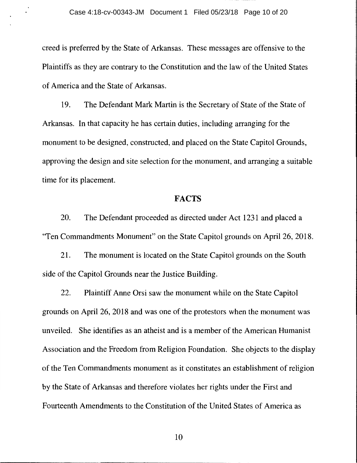creed is preferred by the State of Arkansas. These messages are offensive to the Plaintiffs as they are contrary to the Constitution and the law of the United States of America and the State of Arkansas.

19. The Defendant Mark Martin is the Secretary of State of the State of Arkansas. In that capacity he has certain duties, including arranging for the monument to be designed, constructed, and placed on the State Capitol Grounds, approving the design and site selection for the monument, and arranging a suitable time for its placement.

### **FACTS**

20. The Defendant proceeded as directed under Act 1231 and placed a "Ten Commandments Monument" on the State Capitol grounds on April 26, 2018.

21. The monument is located on the State Capitol grounds on the South side of the Capitol Grounds near the Justice Building.

22. Plaintiff Anne Orsi saw the monument while on the State Capitol grounds on April 26, 2018 and was one of the protestors when the monument was unveiled. She identifies as an atheist and is a member of the American Humanist Association and the Freedom from Religion Foundation. She objects to the display of the Ten Commandments monument as it constitutes an establishment of religion by the State of Arkansas and therefore violates her rights under the First and Fourteenth Amendments to the Constitution of the United States of America as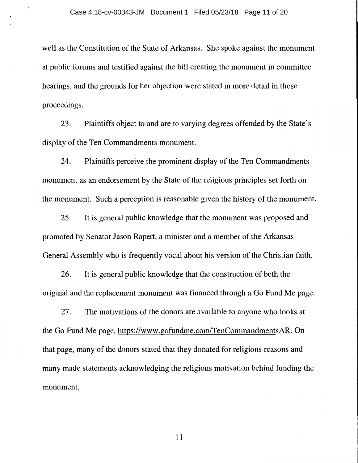well as the Constitution of the State of Arkansas. She spoke against the monument at public forums and testified against the bill creating the monument in committee hearings, and the grounds for her objection were stated in more detail in those proceedings.

23. Plaintiffs object to and are to varying degrees offended by the State's display of the Ten Commandments monument.

24. Plaintiffs perceive the prominent display of the Ten Commandments monument as an endorsement by the State of the religious principles set forth on the monument. Such a perception is reasonable given the history of the monument.

25. It is general public knowledge that the monument was proposed and promoted by Senator Jason Rapert, a minister and a member of the Arkansas General Assembly who is frequently vocal about his version of the Christian faith.

26. It is general public knowledge that the construction of both the original and the replacement monument was financed through a Go Fund Me page.

27. The motivations of the donors are available to anyone who looks at the Go Fund Me page, https://www.gofundme.com/TenCommandmentsAR. On that page, many of the donors stated that they donated for religions reasons and many made statements acknowledging the religious motivation behind funding the monument.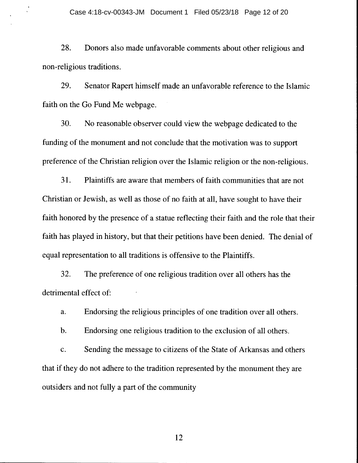28. Donors also made unfavorable comments about other religious and non-religious traditions.

29. Senator Rapert himself made an unfavorable reference to the Islamic faith on the Go Fund Me webpage.

30. No reasonable observer could view the webpage dedicated to the funding of the monument and not conclude that the motivation was to support preference of the Christian religion over the Islamic religion or the non-religious.

31. Plaintiffs are aware that members of faith communities that are not Christian or Jewish, as well as those of no faith at all, have sought to have their faith honored by the presence of a statue reflecting their faith and the role that their faith has played in history, but that their petitions have been denied. The denial of equal representation to all traditions is offensive to the Plaintiffs.

32. The preference of one religious tradition over all others has the detrimental effect of:

a. Endorsing the religious principles of one tradition over all others.

b. Endorsing one religious tradition to the exclusion of all others.

c. Sending the message to citizens of the State of Arkansas and others that if they do not adhere to the tradition represented by the monument they are outsiders and not fully a part of the community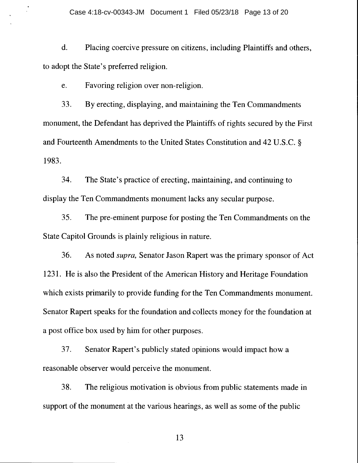d. Placing coercive pressure on citizens, including Plaintiffs and others, to adopt the State's preferred religion.

e. Favoring religion over non-religion.

33. By erecting, displaying, and maintaining the Ten Commandments monument, the Defendant has deprived the Plaintiffs of rights secured by the First and Fourteenth Amendments to the United States Constitution and 42 U.S.C. § 1983.

34. The State's practice of erecting, maintaining, and continuing to display the Ten Commandments monument lacks any secular purpose.

35. The pre-eminent purpose for posting the Ten Commandments on the State Capitol Grounds is plainly religious in nature.

36. As noted *supra,* Senator Jason Rapert was the primary sponsor of Act 1231. He is also the President of the American History and Heritage Foundation which exists primarily to provide funding for the Ten Commandments monument. Senator Rapert speaks for the foundation and collects money for the foundation at a post office box used by him for other purposes.

37. Senator Rapert's publicly stated opinions would impact how a reasonable observer would perceive the monument.

38. The religious motivation is obvious from public statements made in support of the monument at the various hearings, as well as some of the public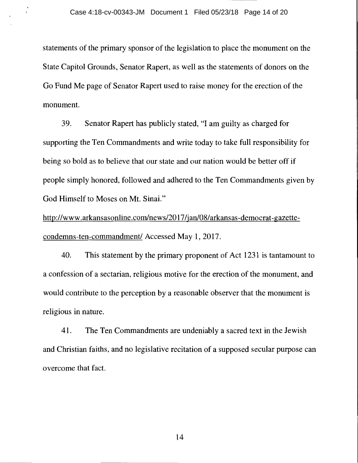statements of the primary sponsor of the legislation to place the monument on the State Capitol Grounds, Senator Rapert, as well as the statements of donors on the Go Fund Me page of Senator Rapert used to raise money for the erection of the monument.

39. Senator Rapert has publicly stated, "I am guilty as charged for supporting the Ten Commandments and write today to take full responsibility for being so bold as to believe that our state and our nation would be better off if people simply honored, followed and adhered to the Ten Commandments given by God Himself to Moses on Mt. Sinai."

http://www.arkansasonline.com/news/2017 /jan/08/arkansas-democrat-gazettecondemns-ten-commandment/ Accessed May 1, 2017.

40. This statement by the primary proponent of Act 1231 is tantamount to a confession of a sectarian, religious motive for the erection of the monument, and would contribute to the perception by a reasonable observer that the monument is religious in nature.

41. The Ten Commandments are undeniably a sacred text in the Jewish and Christian faiths, and no legislative recitation of a supposed secular purpose can overcome that fact.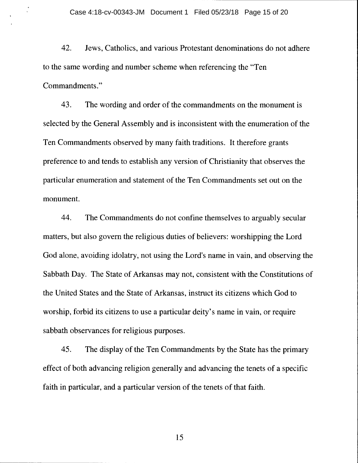42. Jews, Catholics, and various Protestant denominations do not adhere to the same wording and number scheme when referencing the "Ten Commandments."

43. The wording and order of the commandments on the monument is selected by the General Assembly and is inconsistent with the enumeration of the Ten Commandments observed by many faith traditions. It therefore grants preference to and tends to establish any version of Christianity that observes the particular enumeration and statement of the Ten Commandments set out on the monument.

44. The Commandments do not confine themselves to arguably secular matters, but also govern the religious duties of believers: worshipping the Lord God alone, avoiding idolatry, not using the Lord's name in vain, and observing the Sabbath Day. The State of Arkansas may not, consistent with the Constitutions of the United States and the State of Arkansas, instruct its citizens which God to worship, forbid its citizens to use a particular deity's name in vain, or require sabbath observances for religious purposes.

45. The display of the Ten Commandments by the State has the primary effect of both advancing religion generally and advancing the tenets of a specific faith in particular, and a particular version of the tenets of that faith.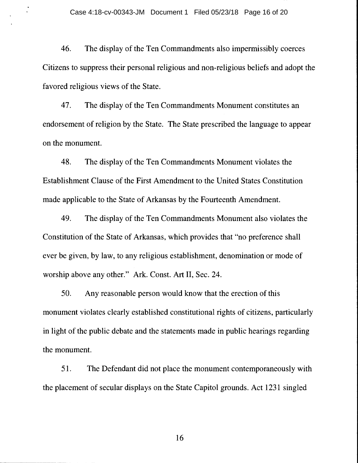46. The display of the Ten Commandments also impermissibly coerces Citizens to suppress their personal religious and non-religious beliefs and adopt the favored religious views of the State.

47. The display of the Ten Commandments Monument constitutes an endorsement of religion by the State. The State prescribed the language to appear on the monument.

48. The display of the Ten Commandments Monument violates the Establishment Clause of the First Amendment to the United States Constitution made applicable to the State of Arkansas by the Fourteenth Amendment.

49. The display of the Ten Commandments Monument also violates the Constitution of the State of Arkansas, which provides that "no preference shall ever be given, by law, to any religious establishment, denomination or mode of worship above any other." Ark. Const. Art II, Sec. 24.

50. Any reasonable person would know that the erection of this monument violates clearly established constitutional rights of citizens, particularly in light of the public debate and the statements made in public hearings regarding the monument.

51. The Defendant did not place the monument contemporaneously with the placement of secular displays on the State Capitol grounds. Act 1231 singled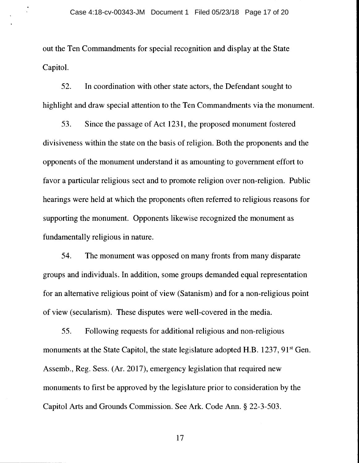out the Ten Commandments for special recognition and display at the State Capitol.

52. In coordination with other state actors, the Defendant sought to highlight and draw special attention to the Ten Commandments via the monument.

53. Since the passage of Act 1231, the proposed monument fostered divisiveness within the state on the basis of religion. Both the proponents and the opponents of the monument understand it as amounting to government effort to favor a particular religious sect and to promote religion over non-religion. Public hearings were held at which the proponents often referred to religious reasons for supporting the monument. Opponents likewise recognized the monument as fundamentally religious in nature.

54. The monument was opposed on many fronts from many disparate groups and individuals. In addition, some groups demanded equal representation for an alternative religious point of view (Satanism) and for a non-religious point of view (secularism). These disputes were well-covered in the media.

55. Following requests for additional religious and non-religious monuments at the State Capitol, the state legislature adopted H.B. 1237, 91<sup>st</sup> Gen. Assemb., Reg. Sess. (Ar. 2017), emergency legislation that required new monuments to first be approved by the legislature prior to consideration by the Capitol Arts and Grounds Commission. See Ark. Code Ann.§ 22-3-503.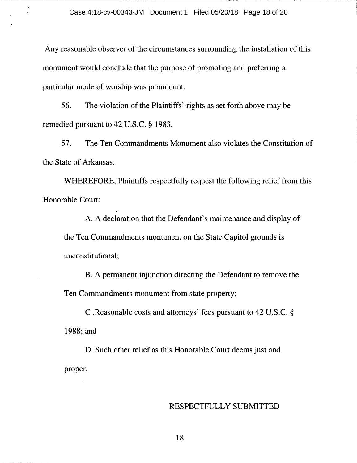Any reasonable observer of the circumstances surrounding the installation of this monument would conclude that the purpose of promoting and preferring a particular mode of worship was paramount.

56. The violation of the Plaintiffs' rights as set forth above may be remedied pursuant to 42 U.S.C. § 1983.

57. The Ten Commandments Monument also violates the Constitution of the State of Arkansas.

WHEREFORE, Plaintiffs respectfully request the following relief from this Honorable Court:

.

A. A declaration that the Defendant's maintenance and display of the Ten Commandments monument on the State Capitol grounds is unconstitutional;

B. A permanent injunction directing the Defendant to remove the Ten Commandments monument from state property;

C .Reasonable costs and attorneys' fees pursuant to 42 U.S.C. § 1988;and

D. Such other relief as this Honorable Court deems just and proper.

#### RESPECTFULLY SUBMITTED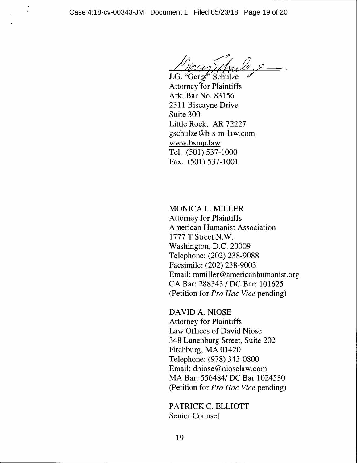J.G. "Ge Attorney for Plaintiffs Ark. Bar No. 83156 2311 Biscayne Drive Suite 300 Little Rock, AR 72227 gschulze@b-s-m-law.com www.bsmp.law Tel. (501) 537-1000 Fax. (501) 537-1001

MONICA L. MILLER Attorney for Plaintiffs American Humanist Association 1777 T Street N.W. Washington, D.C. 20009 Telephone: (202) 238-9088 Facsimile: (202) 238-9003 Email: mmiller@americanhumanist.org CA Bar: 288343 I DC Bar: 101625 (Petition for *Pro Hae Vice* pending)

DAVID A. NIOSE Attorney for Plaintiffs Law Offices of David Niose 348 Lunenburg Street, Suite 202 Fitchburg, MA 01420 Telephone: (978) 343-0800 Email: dniose@nioselaw.com MA Bar: 556484/ DC Bar 1024530 (Petition for *Pro Hae Vice* pending)

PATRICK C. ELLIOTT Senior Counsel